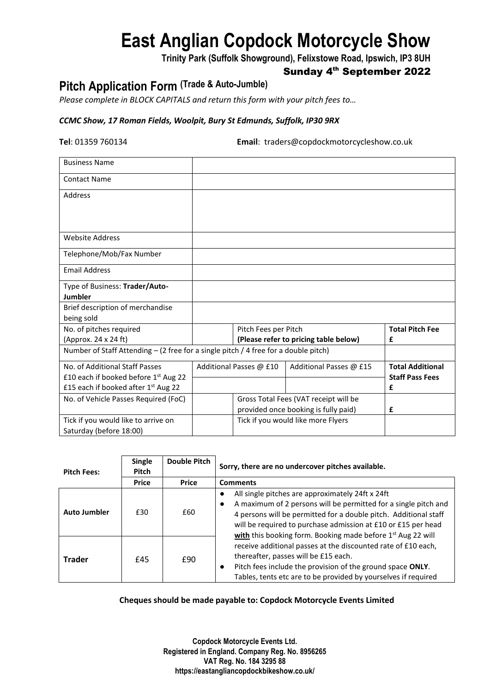# **East Anglian Copdock Motorcycle Show**

**Trinity Park (Suffolk Showground), Felixstowe Road, Ipswich, IP3 8UH**

## Sunday 4<sup>th</sup> September 2022

## **Pitch Application Form (Trade & Auto-Jumble)**

*Please complete in BLOCK CAPITALS and return this form with your pitch fees to…*

### *CCMC Show, 17 Roman Fields, Woolpit, Bury St Edmunds, Suffolk, IP30 9RX*

**Tel**: 01359 760134 **Email**: traders@copdockmotorcycleshow.co.uk

| <b>Business Name</b>                                                                |                                                                            |                         |                         |                         |
|-------------------------------------------------------------------------------------|----------------------------------------------------------------------------|-------------------------|-------------------------|-------------------------|
| <b>Contact Name</b>                                                                 |                                                                            |                         |                         |                         |
| Address                                                                             |                                                                            |                         |                         |                         |
|                                                                                     |                                                                            |                         |                         |                         |
|                                                                                     |                                                                            |                         |                         |                         |
| <b>Website Address</b>                                                              |                                                                            |                         |                         |                         |
| Telephone/Mob/Fax Number                                                            |                                                                            |                         |                         |                         |
| <b>Email Address</b>                                                                |                                                                            |                         |                         |                         |
| Type of Business: Trader/Auto-                                                      |                                                                            |                         |                         |                         |
| Jumbler                                                                             |                                                                            |                         |                         |                         |
| Brief description of merchandise                                                    |                                                                            |                         |                         |                         |
| being sold                                                                          |                                                                            |                         |                         |                         |
| No. of pitches required                                                             | Pitch Fees per Pitch                                                       |                         |                         | <b>Total Pitch Fee</b>  |
| (Approx. 24 x 24 ft)                                                                | (Please refer to pricing table below)                                      |                         |                         | £                       |
| Number of Staff Attending - (2 free for a single pitch / 4 free for a double pitch) |                                                                            |                         |                         |                         |
| No. of Additional Staff Passes                                                      |                                                                            | Additional Passes @ £10 | Additional Passes @ £15 | <b>Total Additional</b> |
| £10 each if booked before 1st Aug 22                                                |                                                                            |                         |                         | <b>Staff Pass Fees</b>  |
| £15 each if booked after 1st Aug 22                                                 |                                                                            |                         |                         | £                       |
| No. of Vehicle Passes Required (FoC)                                                |                                                                            |                         |                         |                         |
|                                                                                     |                                                                            | £                       |                         |                         |
| Tick if you would like to arrive on                                                 | provided once booking is fully paid)<br>Tick if you would like more Flyers |                         |                         |                         |
| Saturday (before 18:00)                                                             |                                                                            |                         |                         |                         |

| <b>Pitch Fees:</b>  | <b>Single</b><br>Pitch | <b>Double Pitch</b> | Sorry, there are no undercover pitches available.                                                                                                                                                                                                                                                                                   |  |  |
|---------------------|------------------------|---------------------|-------------------------------------------------------------------------------------------------------------------------------------------------------------------------------------------------------------------------------------------------------------------------------------------------------------------------------------|--|--|
|                     | <b>Price</b>           | <b>Price</b>        | <b>Comments</b>                                                                                                                                                                                                                                                                                                                     |  |  |
| <b>Auto Jumbler</b> | £30                    | £60                 | All single pitches are approximately 24ft x 24ft<br>A maximum of 2 persons will be permitted for a single pitch and<br>4 persons will be permitted for a double pitch. Additional staff<br>will be required to purchase admission at £10 or £15 per head<br>with this booking form. Booking made before 1 <sup>st</sup> Aug 22 will |  |  |
| <b>Trader</b>       | £45                    | £90                 | receive additional passes at the discounted rate of £10 each,<br>thereafter, passes will be £15 each.<br>Pitch fees include the provision of the ground space ONLY.<br>Tables, tents etc are to be provided by yourselves if required                                                                                               |  |  |

#### **Cheques should be made payable to: Copdock Motorcycle Events Limited**

**Copdock Motorcycle Events Ltd. Registered in England. Company Reg. No. 8956265 VAT Reg. No. 184 3295 88 https://eastangliancopdockbikeshow.co.uk/**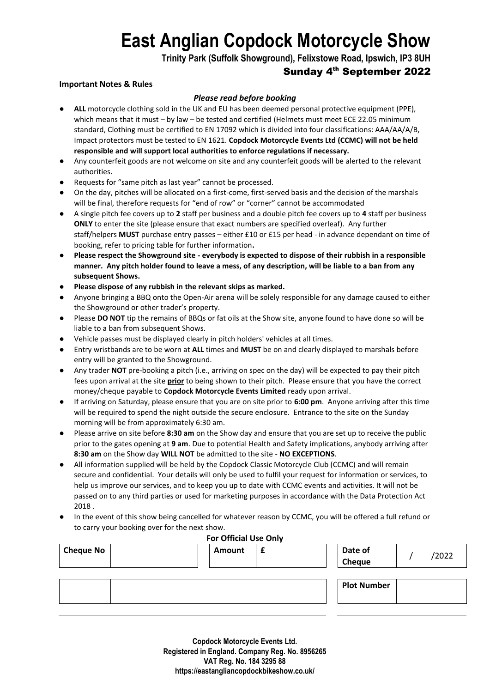# **East Anglian Copdock Motorcycle Show**

**Trinity Park (Suffolk Showground), Felixstowe Road, Ipswich, IP3 8UH**

## Sunday 4th September 2022

#### **Important Notes & Rules**

#### *Please read before booking*

- **ALL** motorcycle clothing sold in the UK and EU has been deemed personal protective equipment (PPE), which means that it must – by law – be tested and certified (Helmets must meet ECE 22.05 minimum standard, Clothing must be certified to EN 17092 which is divided into four classifications: AAA/AA/A/B, Impact protectors must be tested to EN 1621. **Copdock Motorcycle Events Ltd (CCMC) will not be held responsible and will support local authorities to enforce regulations if necessary.**
- Any counterfeit goods are not welcome on site and any counterfeit goods will be alerted to the relevant authorities.
- Requests for "same pitch as last year" cannot be processed.
- On the day, pitches will be allocated on a first-come, first-served basis and the decision of the marshals will be final, therefore requests for "end of row" or "corner" cannot be accommodated
- A single pitch fee covers up to **2** staff per business and a double pitch fee covers up to **4** staff per business **ONLY** to enter the site (please ensure that exact numbers are specified overleaf). Any further staff/helpers **MUST** purchase entry passes – either £10 or £15 per head - in advance dependant on time of booking, refer to pricing table for further information**.**
- **Please respect the Showground site - everybody is expected to dispose of their rubbish in a responsible manner. Any pitch holder found to leave a mess, of any description, will be liable to a ban from any subsequent Shows.**
- **Please dispose of any rubbish in the relevant skips as marked.**
- Anyone bringing a BBQ onto the Open-Air arena will be solely responsible for any damage caused to either the Showground or other trader's property.
- Please **DO NOT** tip the remains of BBQs or fat oils at the Show site, anyone found to have done so will be liable to a ban from subsequent Shows.
- Vehicle passes must be displayed clearly in pitch holders' vehicles at all times.
- Entry wristbands are to be worn at **ALL** times and **MUST** be on and clearly displayed to marshals before entry will be granted to the Showground.
- Any trader **NOT** pre-booking a pitch (i.e., arriving on spec on the day) will be expected to pay their pitch fees upon arrival at the site **prior** to being shown to their pitch. Please ensure that you have the correct money/cheque payable to **Copdock Motorcycle Events Limited** ready upon arrival.
- If arriving on Saturday, please ensure that you are on site prior to **6:00 pm**. Anyone arriving after this time will be required to spend the night outside the secure enclosure. Entrance to the site on the Sunday morning will be from approximately 6:30 am.
- Please arrive on site before 8:30 am on the Show day and ensure that you are set up to receive the public prior to the gates opening at **9 am**. Due to potential Health and Safety implications, anybody arriving after **8:30 am** on the Show day **WILL NOT** be admitted to the site - **NO EXCEPTIONS**.
- All information supplied will be held by the Copdock Classic Motorcycle Club (CCMC) and will remain secure and confidential. Your details will only be used to fulfil your request for information or services, to help us improve our services, and to keep you up to date with CCMC events and activities. It will not be passed on to any third parties or used for marketing purposes in accordance with the Data Protection Act 2018 .
- In the event of this show being cancelled for whatever reason by CCMC, you will be offered a full refund or to carry your booking over for the next show.

|                  | <b>For Official Use Only</b> |  |                    |       |
|------------------|------------------------------|--|--------------------|-------|
| <b>Cheque No</b> | <b>Amount</b>                |  | Date of            | /2022 |
|                  |                              |  | <b>Cheque</b>      |       |
|                  |                              |  |                    |       |
|                  |                              |  | <b>Plot Number</b> |       |
|                  |                              |  |                    |       |

**Copdock Motorcycle Events Ltd. Registered in England. Company Reg. No. 8956265 VAT Reg. No. 184 3295 88 https://eastangliancopdockbikeshow.co.uk/**